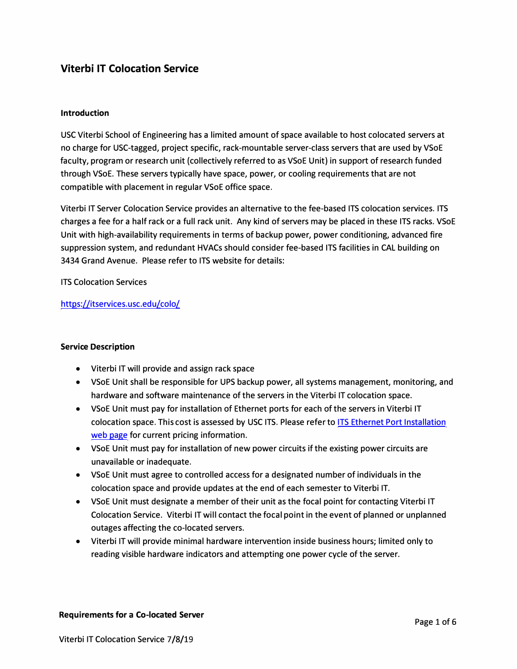## **Viterbi IT Colocation Service**

#### **Introduction**

USC Viterbi School of Engineering has a limited amount of space available to host colocated servers at no charge for USC-tagged, project specific, rack-mountable server-class servers that are used by VSoE faculty, program or research unit (collectively referred to as VSoE Unit) in support of research funded through VSoE. These servers typically have space, power, or cooling requirements that are not compatible with placement in regular VSoE office space.

Viterbi IT Server Colocation Service provides an alternative to the fee-based ITS colocation services. ITS charges a fee for a half rack or a full rack unit. Any kind of servers may be placed in these ITS racks. VSoE Unit with high-availability requirements in terms of backup power, power conditioning, advanced fire suppression system, and redundant HVACs should consider fee-based ITS facilities in CAL building on 3434 Grand Avenue. Please refer to ITS website for details:

ITS Colocation Services

#### https://itservices.usc.edu/colo/

#### **Service Description**

- Viterbi IT will provide and assign rack space
- VSoE Unit shall be responsible for UPS backup power, all systems management, monitoring, and hardware and software maintenance of the servers in the Viterbi IT colocation space.
- VSoE Unit must pay for installation of Ethernet ports for each of the servers in Viterbi IT colocation space. This cost is assessed by USC ITS. Please refer to ITS Ethernet Port Installation web page for current pricing information.
- VSoE Unit must pay for installation of new power circuits if the existing power circuits are unavailable or inadequate.
- VSoE Unit must agree to controlled access for a designated number of individuals in the colocation space and provide updates at the end of each semester to Viterbi IT.
- VSoE Unit must designate a member of their unit as the focal point for contacting Viterbi IT Colocation Service. Viterbi IT will contact the focal point in the event of planned or unplanned outages affecting the co-located servers.
- Viterbi IT will provide minimal hardware intervention inside business hours; limited only to reading visible hardware indicators and attempting one power cycle of the server.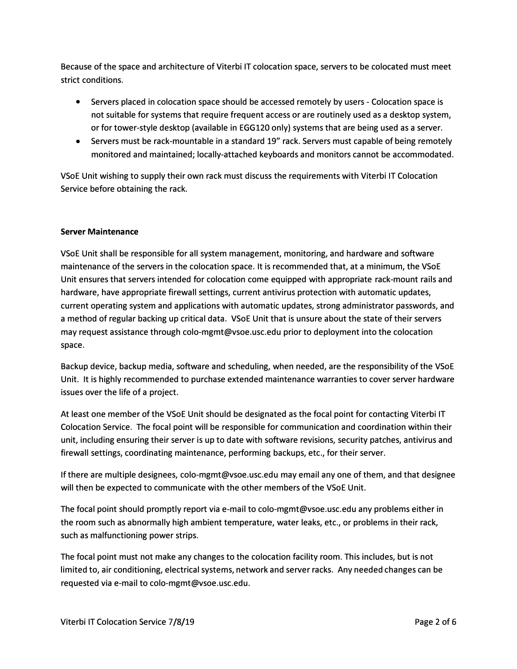Because of the space and architecture of Viterbi IT colocation space, servers to be colocated must meet strict conditions.

- Servers placed in colocation space should be accessed remotely by users Colocation space is not suitable for systems that require frequent access or are routinely used as a desktop system, or for tower-style desktop (available in EGG120 only) systems that are being used as a server.
- Servers must be rack-mountable in a standard 19" rack. Servers must capable of being remotely monitored and maintained; locally-attached keyboards and monitors cannot be accommodated.

VSoE Unit wishing to supply their own rack must discuss the requirements with Viterbi IT Colocation Service before obtaining the rack.

### **Server Maintenance**

VSoE Unit shall be responsible for all system management, monitoring, and hardware and software maintenance of the servers in the colocation space. It is recommended that, at a minimum, the VSoE Unit ensures that servers intended for colocation come equipped with appropriate rack-mount rails and hardware, have appropriate firewall settings, current antivirus protection with automatic updates, current operating system and applications with automatic updates, strong administrator passwords, and a method of regular backing up critical data. VSoE Unit that is unsure about the state of their servers may request assistance through colo-mgmt@vsoe.usc.edu prior to deployment into the colocation space.

Backup device, backup media, software and scheduling, when needed, are the responsibility of the VSoE Unit. It is highly recommended to purchase extended maintenance warranties to cover server hardware issues over the life of a project.

At least one member of the VSoE Unit should be designated as the focal point for contacting Viterbi IT Colocation Service. The focal point will be responsible for communication and coordination within their unit, including ensuring their server is up to date with software revisions, security patches, antivirus and firewall settings, coordinating maintenance, performing backups, etc., for their server.

If there are multiple designees, colo-mgmt@vsoe.usc.edu may email any one of them, and that designee will then be expected to communicate with the other members of the VSoE Unit.

The focal point should promptly report via e-mail to colo-mgmt@vsoe.usc.edu any problems either in the room such as abnormally high ambient temperature, water leaks, etc., or problems in their rack, such as malfunctioning power strips.

The focal point must not make any changes to the colocation facility room. This includes, but is not limited to, air conditioning, electrical systems, network and server racks. Any needed changes can be requested via e-mail to colo-mgmt@vsoe.usc.edu.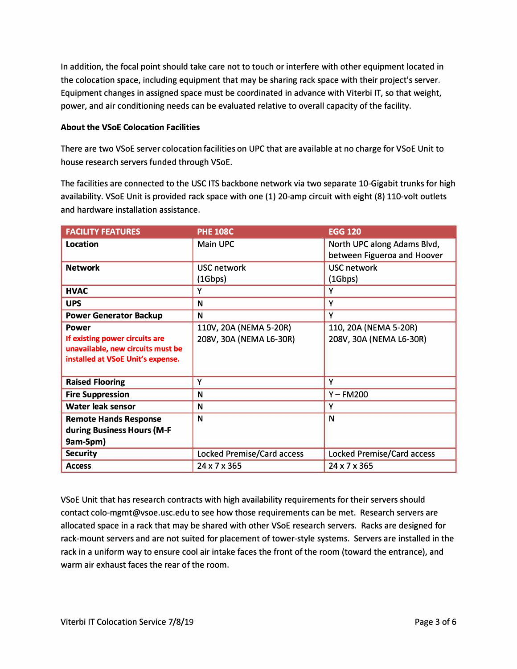In addition, the focal point should take care not to touch or interfere with other equipment located in the colocation space, including equipment that may be sharing rack space with their project's server. Equipment changes in assigned space must be coordinated in advance with Viterbi IT, so that weight, power, and air conditioning needs can be evaluated relative to overall capacity of the facility.

#### **About the VSoE Colocation Facilities**

There are two VSoE server colocation facilities on UPC that are available at no charge for VSoE Unit to house research servers funded through VSoE.

The facilities are connected to the USC ITS backbone network via two separate 10-Gigabit trunks for high availability. VSoE Unit is provided rack space with one (1) 20-amp circuit with eight (8) 110-volt outlets and hardware installation assistance.

| <b>FACILITY FEATURES</b>                                                                                                 | <b>PHE 108C</b>                                   | <b>EGG 120</b>                                             |
|--------------------------------------------------------------------------------------------------------------------------|---------------------------------------------------|------------------------------------------------------------|
| Location                                                                                                                 | <b>Main UPC</b>                                   | North UPC along Adams Blvd,<br>between Figueroa and Hoover |
| <b>Network</b>                                                                                                           | <b>USC network</b><br>(1Gbps)                     | <b>USC network</b><br>(1Gbps)                              |
| <b>HVAC</b>                                                                                                              | Y                                                 | Y                                                          |
| <b>UPS</b>                                                                                                               | N                                                 | Y                                                          |
| <b>Power Generator Backup</b>                                                                                            | N                                                 | Y                                                          |
| <b>Power</b><br>If existing power circuits are<br>unavailable, new circuits must be<br>installed at VSoE Unit's expense. | 110V, 20A (NEMA 5-20R)<br>208V, 30A (NEMA L6-30R) | 110, 20A (NEMA 5-20R)<br>208V, 30A (NEMA L6-30R)           |
| <b>Raised Flooring</b>                                                                                                   | Υ                                                 | Y                                                          |
| <b>Fire Suppression</b>                                                                                                  | N                                                 | $Y - FM200$                                                |
| <b>Water leak sensor</b>                                                                                                 | N                                                 | Y                                                          |
| <b>Remote Hands Response</b><br>during Business Hours (M-F<br>9am-5pm)                                                   | N                                                 | N                                                          |
| <b>Security</b>                                                                                                          | <b>Locked Premise/Card access</b>                 | <b>Locked Premise/Card access</b>                          |
| <b>Access</b>                                                                                                            | 24 x 7 x 365                                      | 24 x 7 x 365                                               |

VSoE Unit that has research contracts with high availability requirements for their servers should contact colo-mgmt@vsoe.usc.edu to see how those requirements can be met. Research servers are allocated space in a rack that may be shared with other VSoE research servers. Racks are designed for rack-mount servers and are not suited for placement of tower-style systems. Servers are installed in the rack in a uniform way to ensure cool air intake faces the front of the room (toward the entrance), and warm air exhaust faces the rear of the room.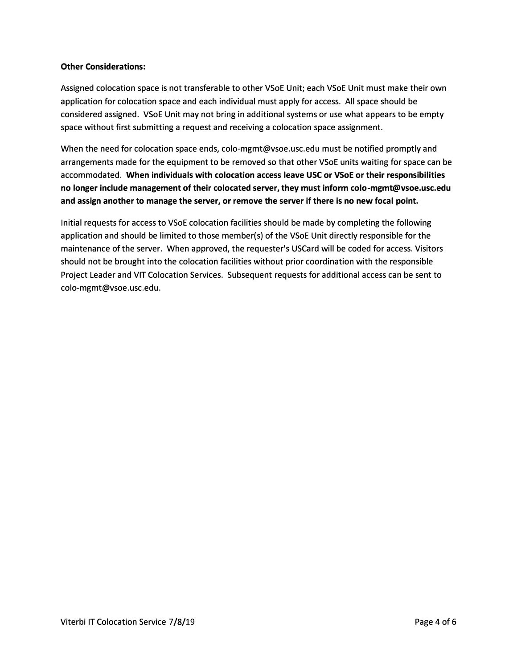#### **Other Considerations:**

Assigned colocation space is not transferable to other VSoE Unit; each VSoE Unit must make their own application for colocation space and each individual must apply for access. All space should be considered assigned. VSoE Unit may not bring in additional systems or use what appears to be empty space without first submitting a request and receiving a colocation space assignment.

When the need for colocation space ends, colo-mgmt@vsoe.usc.edu must be notified promptly and arrangements made for the equipment to be removed so that other VSoE units waiting for space can be accommodated. **When individuals with colocation access leave USC or VSoE or their responsibilities no longer include management of their colocated server, they must inform colo-mgmt@vsoe.usc.edu and assign another to manage the server, or remove the server** if **there is no new focal point.** 

Initial requests for access to VSoE colocation facilities should be made by completing the following application and should be limited to those member(s) of the VSoE Unit directly responsible for the maintenance of the server. When approved, the requester's USCard will be coded for access. Visitors should not be brought into the colocation facilities without prior coordination with the responsible Project Leader and VIT Colocation Services. Subsequent requests for additional access can be sent to colo-mgmt@vsoe.usc.edu.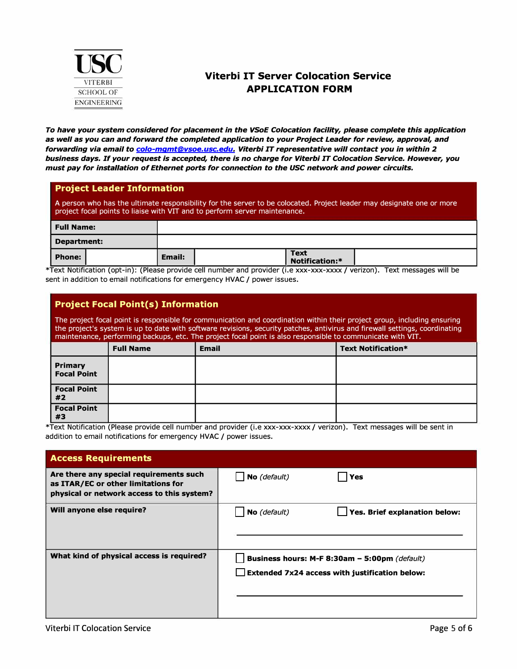

# **Viterbi IT Server Colocation Service APPLICATION FORM**

*To have your system considered for placement in the VSoE Colocation facility, please complete this application as well as you can and forward the completed application to your Project Leader for review, approval, and forwarding via email to colo-mgmt@vsoe.usc.edu. Viterbi IT representative will contact you in within* **2** *business days. If your request is accepted, there is no charge for Viterbi IT Colocation Service. However, you must pay for installation of Ethernet ports for connection to the USC network and power circuits.* 

#### **Project Leader Information**

A person who has the ultimate responsibility for the server to be colocated. Project leader may designate one or more project focal points to liaise with VIT and to perform server maintenance.

| Full Name:  |        |                               |  |
|-------------|--------|-------------------------------|--|
| Department: |        |                               |  |
| Phone:      | Email: | <b>Text</b><br>Notification:* |  |

\*Text Notification (opt-in): (Please provide cell number and provider (i.e xxx-xxx-xxxx / verizon). Text messages will be sent in addition to email notifications for emergency HVAC / power issues.

### **Project Focal Point(s) Information**

The project focal point is responsible for communication and coordination within their project group, including ensuring the project's system is up to date with software revisions, security patches, antivirus and firewall settings, coordinating maintenance, performing backups, etc. The project focal point is also responsible to communicate with VIT.

|                                | <b>Full Name</b> | <b>Email</b> | <b>Text Notification*</b> |
|--------------------------------|------------------|--------------|---------------------------|
| <b>Primary<br/>Focal Point</b> |                  |              |                           |
| <b>Focal Point</b><br>#2       |                  |              |                           |
| <b>Focal Point</b><br>#3       |                  |              |                           |

\*Text Notification (Please provide cell number and provider (i.e xxx-xxx-xxxx / verizon). Text messages will be sent in addition to email notifications for emergency HVAC / power issues.

| <b>Access Requirements</b>                                                                                                   |                                                                                                        |                               |
|------------------------------------------------------------------------------------------------------------------------------|--------------------------------------------------------------------------------------------------------|-------------------------------|
| Are there any special requirements such<br>as ITAR/EC or other limitations for<br>physical or network access to this system? | No (default)                                                                                           | <b>Yes</b>                    |
| Will anyone else require?                                                                                                    | No (default)                                                                                           | Yes. Brief explanation below: |
| What kind of physical access is required?                                                                                    | Business hours: M-F 8:30am - 5:00pm (default)<br><b>Extended 7x24 access with justification below:</b> |                               |